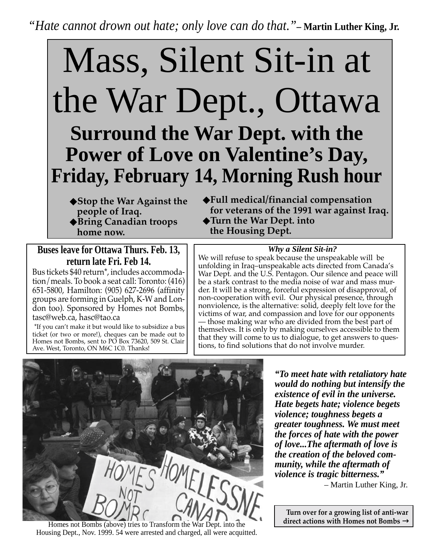*"Hate cannot drown out hate; only love can do that."***– Martin Luther King, Jr.**

# Mass, Silent Sit-in at the War Dept., Ottawa **Surround the War Dept. with the Power of Love on Valentine's Day, Friday, February 14, Morning Rush hour**

- ◆**Stop the War Against the people of Iraq.**
- ◆**Bring Canadian troops home now.**

## **Buses leave for Ottawa Thurs. Feb. 13, return late Fri. Feb 14.**

Bus tickets \$40 return\*, includes accommodation/meals. To book a seat call: Toronto: (416) 651-5800, Hamilton: (905) 627-2696 (affinity groups are forming in Guelph, K-W and London too). Sponsored by Homes not Bombs, tasc@web.ca, hasc@tao.ca

\*If you can't make it but would like to subsidize a bus ticket (or two or more!), cheques can be made out to Homes not Bombs, sent to PO Box 73620, 509 St. Clair Ave. West, Toronto, ON M6C 1C0. Thanks!

◆**Full medical/financial compensation for veterans of the 1991 war against Iraq.** ◆**Turn the War Dept. into the Housing Dept.**

### *Why a Silent Sit-in?*

We will refuse to speak because the unspeakable will be unfolding in Iraq–unspeakable acts directed from Canada's War Dept. and the U.S. Pentagon. Our silence and peace will be a stark contrast to the media noise of war and mass murder. It will be a strong, forceful expression of disapproval, of non-cooperation with evil. Our physical presence, through nonviolence, is the alternative: solid, deeply felt love for the victims of war, and compassion and love for our opponents — those making war who are divided from the best part of themselves. It is only by making ourselves accessible to them that they will come to us to dialogue, to get answers to questions, to find solutions that do not involve murder.



Homes not Bombs (above) tries to Transform the War Dept. into the Housing Dept., Nov. 1999. 54 were arrested and charged, all were acquitted.

*"To meet hate with retaliatory hate would do nothing but intensify the existence of evil in the universe. Hate begets hate; violence begets violence; toughness begets a greater toughness. We must meet the forces of hate with the power of love...The aftermath of love is the creation of the beloved community, while the aftermath of violence is tragic bitterness."*

– Martin Luther King, Jr.

**Turn over for a growing list of anti-war direct actions with Homes not Bombs** →